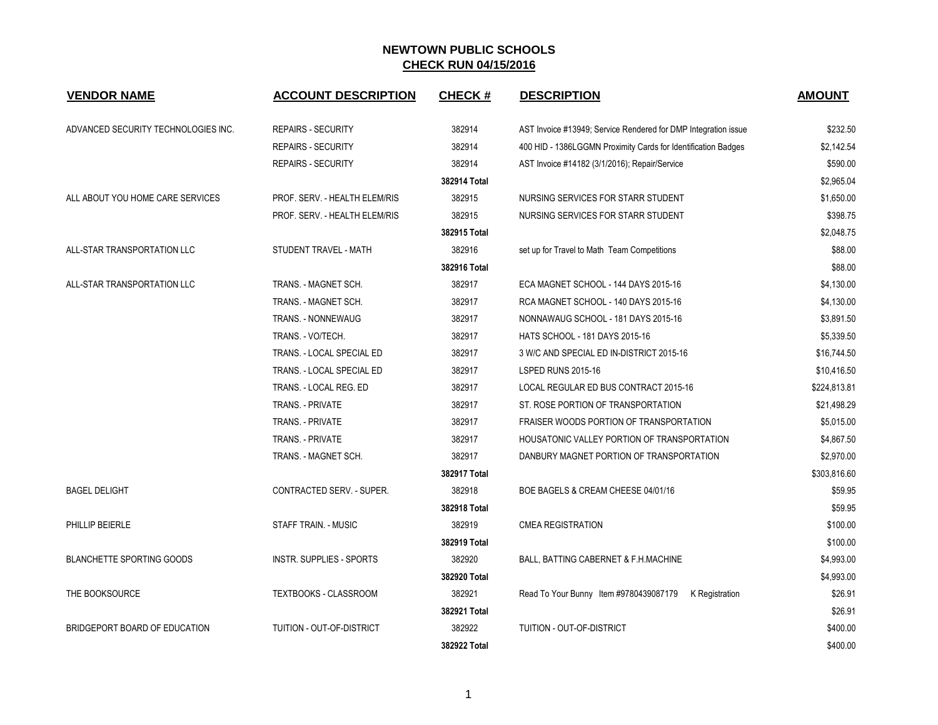| <b>VENDOR NAME</b>                  | <b>ACCOUNT DESCRIPTION</b>       | <b>CHECK#</b> | <b>DESCRIPTION</b>                                             | <b>AMOUNT</b> |
|-------------------------------------|----------------------------------|---------------|----------------------------------------------------------------|---------------|
| ADVANCED SECURITY TECHNOLOGIES INC. | <b>REPAIRS - SECURITY</b>        | 382914        | AST Invoice #13949; Service Rendered for DMP Integration issue | \$232.50      |
|                                     | <b>REPAIRS - SECURITY</b>        | 382914        | 400 HID - 1386LGGMN Proximity Cards for Identification Badges  | \$2,142.54    |
|                                     | <b>REPAIRS - SECURITY</b>        | 382914        | AST Invoice #14182 (3/1/2016); Repair/Service                  | \$590.00      |
|                                     |                                  | 382914 Total  |                                                                | \$2,965.04    |
| ALL ABOUT YOU HOME CARE SERVICES    | PROF. SERV. - HEALTH ELEM/RIS    | 382915        | NURSING SERVICES FOR STARR STUDENT                             | \$1,650.00    |
|                                     | PROF. SERV. - HEALTH ELEM/RIS    | 382915        | NURSING SERVICES FOR STARR STUDENT                             | \$398.75      |
|                                     |                                  | 382915 Total  |                                                                | \$2,048.75    |
| ALL-STAR TRANSPORTATION LLC         | STUDENT TRAVEL - MATH            | 382916        | set up for Travel to Math Team Competitions                    | \$88.00       |
|                                     |                                  | 382916 Total  |                                                                | \$88.00       |
| ALL-STAR TRANSPORTATION LLC         | TRANS. - MAGNET SCH.             | 382917        | ECA MAGNET SCHOOL - 144 DAYS 2015-16                           | \$4,130.00    |
|                                     | TRANS. - MAGNET SCH.             | 382917        | RCA MAGNET SCHOOL - 140 DAYS 2015-16                           | \$4,130.00    |
|                                     | TRANS. - NONNEWAUG               | 382917        | NONNAWAUG SCHOOL - 181 DAYS 2015-16                            | \$3,891.50    |
|                                     | TRANS. - VO/TECH.                | 382917        | <b>HATS SCHOOL - 181 DAYS 2015-16</b>                          | \$5,339.50    |
|                                     | TRANS. - LOCAL SPECIAL ED        | 382917        | 3 W/C AND SPECIAL ED IN-DISTRICT 2015-16                       | \$16,744.50   |
|                                     | TRANS. - LOCAL SPECIAL ED        | 382917        | <b>LSPED RUNS 2015-16</b>                                      | \$10,416.50   |
|                                     | TRANS. - LOCAL REG. ED           | 382917        | LOCAL REGULAR ED BUS CONTRACT 2015-16                          | \$224,813.81  |
|                                     | TRANS. - PRIVATE                 | 382917        | ST. ROSE PORTION OF TRANSPORTATION                             | \$21,498.29   |
|                                     | TRANS. - PRIVATE                 | 382917        | FRAISER WOODS PORTION OF TRANSPORTATION                        | \$5,015.00    |
|                                     | TRANS. - PRIVATE                 | 382917        | HOUSATONIC VALLEY PORTION OF TRANSPORTATION                    | \$4,867.50    |
|                                     | TRANS. - MAGNET SCH.             | 382917        | DANBURY MAGNET PORTION OF TRANSPORTATION                       | \$2,970.00    |
|                                     |                                  | 382917 Total  |                                                                | \$303,816.60  |
| <b>BAGEL DELIGHT</b>                | <b>CONTRACTED SERV. - SUPER.</b> | 382918        | BOE BAGELS & CREAM CHEESE 04/01/16                             | \$59.95       |
|                                     |                                  | 382918 Total  |                                                                | \$59.95       |
| PHILLIP BEIERLE                     | <b>STAFF TRAIN. - MUSIC</b>      | 382919        | <b>CMEA REGISTRATION</b>                                       | \$100.00      |
|                                     |                                  | 382919 Total  |                                                                | \$100.00      |
| <b>BLANCHETTE SPORTING GOODS</b>    | INSTR. SUPPLIES - SPORTS         | 382920        | BALL, BATTING CABERNET & F.H.MACHINE                           | \$4,993.00    |
|                                     |                                  | 382920 Total  |                                                                | \$4,993.00    |
| THE BOOKSOURCE                      | TEXTBOOKS - CLASSROOM            | 382921        | Read To Your Bunny Item #9780439087179 K Registration          | \$26.91       |
|                                     |                                  | 382921 Total  |                                                                | \$26.91       |
| BRIDGEPORT BOARD OF EDUCATION       | TUITION - OUT-OF-DISTRICT        | 382922        | TUITION - OUT-OF-DISTRICT                                      | \$400.00      |
|                                     |                                  | 382922 Total  |                                                                | \$400.00      |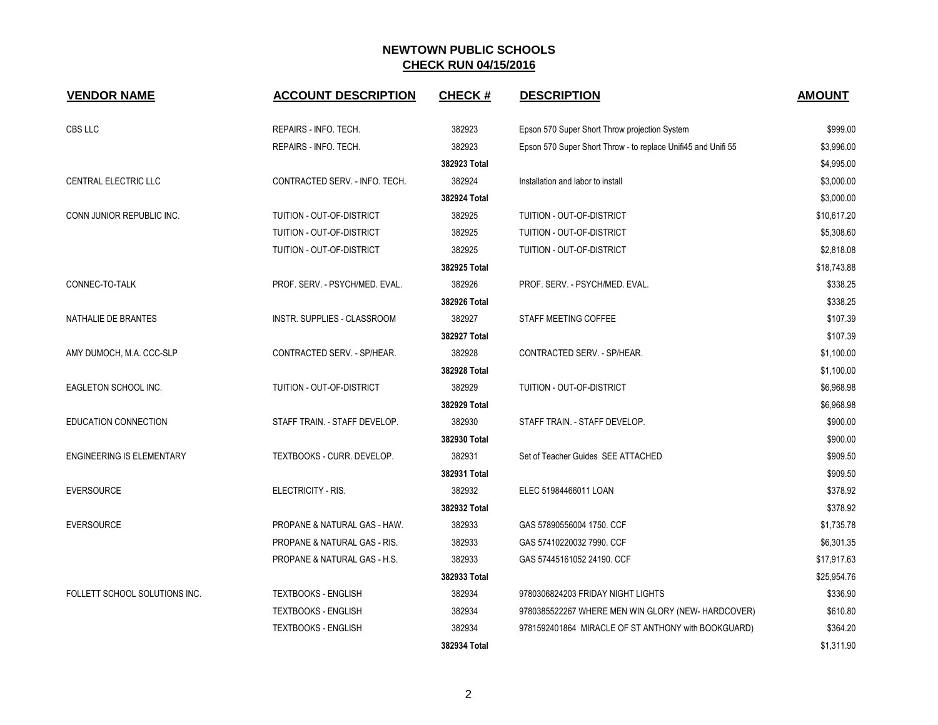| <b>VENDOR NAME</b>               | <b>ACCOUNT DESCRIPTION</b>              | <b>CHECK#</b> | <b>DESCRIPTION</b>                                            | <b>AMOUNT</b> |
|----------------------------------|-----------------------------------------|---------------|---------------------------------------------------------------|---------------|
| CBS LLC                          | REPAIRS - INFO. TECH.                   | 382923        | Epson 570 Super Short Throw projection System                 | \$999.00      |
|                                  | REPAIRS - INFO. TECH.                   | 382923        | Epson 570 Super Short Throw - to replace Unifi45 and Unifi 55 | \$3,996.00    |
|                                  |                                         | 382923 Total  |                                                               | \$4,995.00    |
| <b>CENTRAL ELECTRIC LLC</b>      | CONTRACTED SERV. - INFO. TECH.          | 382924        | Installation and labor to install                             | \$3,000.00    |
|                                  |                                         | 382924 Total  |                                                               | \$3,000.00    |
| CONN JUNIOR REPUBLIC INC.        | TUITION - OUT-OF-DISTRICT               | 382925        | TUITION - OUT-OF-DISTRICT                                     | \$10,617.20   |
|                                  | TUITION - OUT-OF-DISTRICT               | 382925        | TUITION - OUT-OF-DISTRICT                                     | \$5,308.60    |
|                                  | TUITION - OUT-OF-DISTRICT               | 382925        | TUITION - OUT-OF-DISTRICT                                     | \$2,818.08    |
|                                  |                                         | 382925 Total  |                                                               | \$18,743.88   |
| CONNEC-TO-TALK                   | PROF. SERV. - PSYCH/MED. EVAL.          | 382926        | PROF. SERV. - PSYCH/MED. EVAL.                                | \$338.25      |
|                                  |                                         | 382926 Total  |                                                               | \$338.25      |
| NATHALIE DE BRANTES              | INSTR. SUPPLIES - CLASSROOM             | 382927        | STAFF MEETING COFFEE                                          | \$107.39      |
|                                  |                                         | 382927 Total  |                                                               | \$107.39      |
| AMY DUMOCH, M.A. CCC-SLP         | CONTRACTED SERV. - SP/HEAR.             | 382928        | CONTRACTED SERV. - SP/HEAR.                                   | \$1,100.00    |
|                                  |                                         | 382928 Total  |                                                               | \$1,100.00    |
| <b>EAGLETON SCHOOL INC.</b>      | TUITION - OUT-OF-DISTRICT               | 382929        | <b>TUITION - OUT-OF-DISTRICT</b>                              | \$6,968.98    |
|                                  |                                         | 382929 Total  |                                                               | \$6,968.98    |
| EDUCATION CONNECTION             | STAFF TRAIN. - STAFF DEVELOP.           | 382930        | STAFF TRAIN. - STAFF DEVELOP.                                 | \$900.00      |
|                                  |                                         | 382930 Total  |                                                               | \$900.00      |
| <b>ENGINEERING IS ELEMENTARY</b> | TEXTBOOKS - CURR. DEVELOP.              | 382931        | Set of Teacher Guides SEE ATTACHED                            | \$909.50      |
|                                  |                                         | 382931 Total  |                                                               | \$909.50      |
| <b>EVERSOURCE</b>                | ELECTRICITY - RIS.                      | 382932        | ELEC 51984466011 LOAN                                         | \$378.92      |
|                                  |                                         | 382932 Total  |                                                               | \$378.92      |
| <b>EVERSOURCE</b>                | PROPANE & NATURAL GAS - HAW.            | 382933        | GAS 57890556004 1750. CCF                                     | \$1,735.78    |
|                                  | <b>PROPANE &amp; NATURAL GAS - RIS.</b> | 382933        | GAS 57410220032 7990, CCF                                     | \$6,301.35    |
|                                  | PROPANE & NATURAL GAS - H.S.            | 382933        | GAS 57445161052 24190. CCF                                    | \$17,917.63   |
|                                  |                                         | 382933 Total  |                                                               | \$25,954.76   |
| FOLLETT SCHOOL SOLUTIONS INC.    | <b>TEXTBOOKS - ENGLISH</b>              | 382934        | 9780306824203 FRIDAY NIGHT LIGHTS                             | \$336.90      |
|                                  | <b>TEXTBOOKS - ENGLISH</b>              | 382934        | 9780385522267 WHERE MEN WIN GLORY (NEW-HARDCOVER)             | \$610.80      |
|                                  | <b>TEXTBOOKS - ENGLISH</b>              | 382934        | 9781592401864 MIRACLE OF ST ANTHONY with BOOKGUARD)           | \$364.20      |
|                                  |                                         | 382934 Total  |                                                               | \$1,311.90    |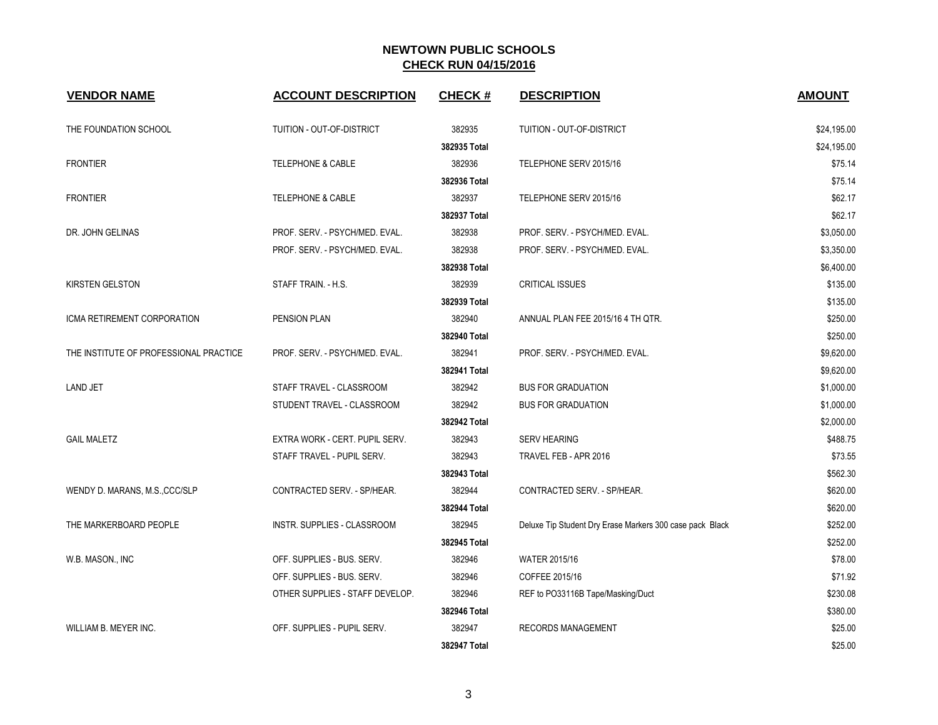| <b>VENDOR NAME</b>                     | <b>ACCOUNT DESCRIPTION</b>      | <b>CHECK#</b> | <b>DESCRIPTION</b>                                       | <b>AMOUNT</b> |
|----------------------------------------|---------------------------------|---------------|----------------------------------------------------------|---------------|
| THE FOUNDATION SCHOOL                  | TUITION - OUT-OF-DISTRICT       | 382935        | TUITION - OUT-OF-DISTRICT                                | \$24,195.00   |
|                                        |                                 | 382935 Total  |                                                          | \$24,195.00   |
| <b>FRONTIER</b>                        | <b>TELEPHONE &amp; CABLE</b>    | 382936        | TELEPHONE SERV 2015/16                                   | \$75.14       |
|                                        |                                 | 382936 Total  |                                                          | \$75.14       |
| <b>FRONTIER</b>                        | <b>TELEPHONE &amp; CABLE</b>    | 382937        | TELEPHONE SERV 2015/16                                   | \$62.17       |
|                                        |                                 | 382937 Total  |                                                          | \$62.17       |
| DR. JOHN GELINAS                       | PROF. SERV. - PSYCH/MED. EVAL.  | 382938        | PROF. SERV. - PSYCH/MED. EVAL.                           | \$3,050.00    |
|                                        | PROF. SERV. - PSYCH/MED. EVAL.  | 382938        | PROF. SERV. - PSYCH/MED. EVAL.                           | \$3,350.00    |
|                                        |                                 | 382938 Total  |                                                          | \$6,400.00    |
| <b>KIRSTEN GELSTON</b>                 | STAFF TRAIN. - H.S.             | 382939        | CRITICAL ISSUES                                          | \$135.00      |
|                                        |                                 | 382939 Total  |                                                          | \$135.00      |
| ICMA RETIREMENT CORPORATION            | PENSION PLAN                    | 382940        | ANNUAL PLAN FEE 2015/16 4 TH QTR.                        | \$250.00      |
|                                        |                                 | 382940 Total  |                                                          | \$250.00      |
| THE INSTITUTE OF PROFESSIONAL PRACTICE | PROF. SERV. - PSYCH/MED. EVAL.  | 382941        | PROF. SERV. - PSYCH/MED. EVAL.                           | \$9,620.00    |
|                                        |                                 | 382941 Total  |                                                          | \$9,620.00    |
| <b>LAND JET</b>                        | STAFF TRAVEL - CLASSROOM        | 382942        | <b>BUS FOR GRADUATION</b>                                | \$1,000.00    |
|                                        | STUDENT TRAVEL - CLASSROOM      | 382942        | <b>BUS FOR GRADUATION</b>                                | \$1,000.00    |
|                                        |                                 | 382942 Total  |                                                          | \$2,000.00    |
| <b>GAIL MALETZ</b>                     | EXTRA WORK - CERT. PUPIL SERV.  | 382943        | <b>SERV HEARING</b>                                      | \$488.75      |
|                                        | STAFF TRAVEL - PUPIL SERV.      | 382943        | TRAVEL FEB - APR 2016                                    | \$73.55       |
|                                        |                                 | 382943 Total  |                                                          | \$562.30      |
| WENDY D. MARANS, M.S., CCC/SLP         | CONTRACTED SERV. - SP/HEAR.     | 382944        | CONTRACTED SERV. - SP/HEAR.                              | \$620.00      |
|                                        |                                 | 382944 Total  |                                                          | \$620.00      |
| THE MARKERBOARD PEOPLE                 | INSTR. SUPPLIES - CLASSROOM     | 382945        | Deluxe Tip Student Dry Erase Markers 300 case pack Black | \$252.00      |
|                                        |                                 | 382945 Total  |                                                          | \$252.00      |
| W.B. MASON., INC                       | OFF. SUPPLIES - BUS. SERV.      | 382946        | <b>WATER 2015/16</b>                                     | \$78.00       |
|                                        | OFF. SUPPLIES - BUS. SERV.      | 382946        | COFFEE 2015/16                                           | \$71.92       |
|                                        | OTHER SUPPLIES - STAFF DEVELOP. | 382946        | REF to PO33116B Tape/Masking/Duct                        | \$230.08      |
|                                        |                                 | 382946 Total  |                                                          | \$380.00      |
| WILLIAM B. MEYER INC.                  | OFF. SUPPLIES - PUPIL SERV.     | 382947        | <b>RECORDS MANAGEMENT</b>                                | \$25.00       |
|                                        |                                 | 382947 Total  |                                                          | \$25.00       |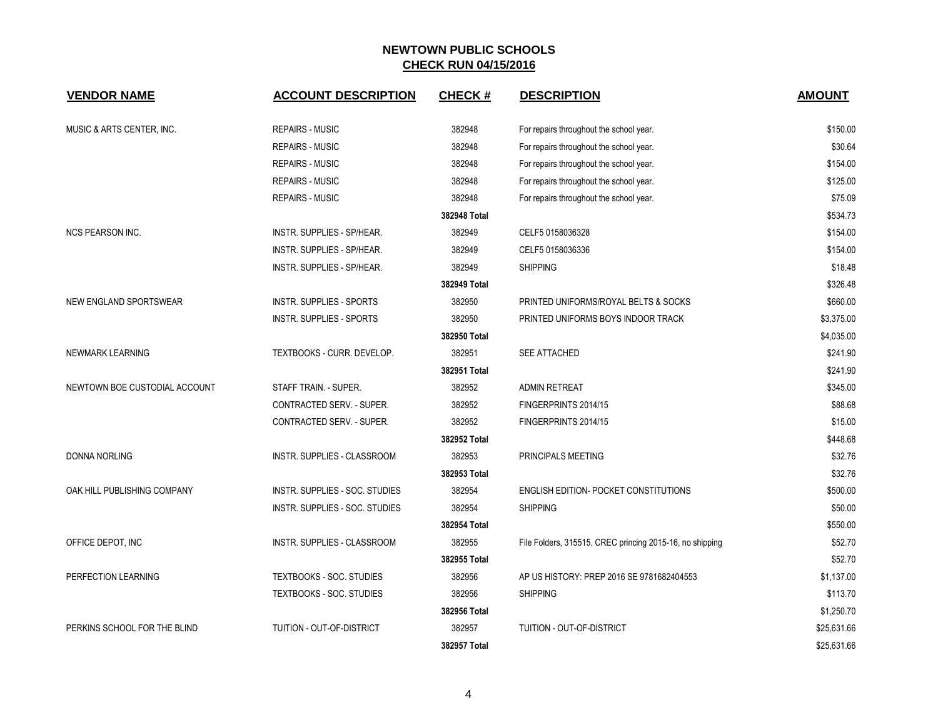| <b>VENDOR NAME</b>            | <b>ACCOUNT DESCRIPTION</b>      | <b>CHECK#</b> | <b>DESCRIPTION</b>                                       | <b>AMOUNT</b> |
|-------------------------------|---------------------------------|---------------|----------------------------------------------------------|---------------|
| MUSIC & ARTS CENTER, INC.     | <b>REPAIRS - MUSIC</b>          | 382948        | For repairs throughout the school year.                  | \$150.00      |
|                               | <b>REPAIRS - MUSIC</b>          | 382948        | For repairs throughout the school year.                  | \$30.64       |
|                               | <b>REPAIRS - MUSIC</b>          | 382948        | For repairs throughout the school year.                  | \$154.00      |
|                               | <b>REPAIRS - MUSIC</b>          | 382948        | For repairs throughout the school year.                  | \$125.00      |
|                               | <b>REPAIRS - MUSIC</b>          | 382948        | For repairs throughout the school year.                  | \$75.09       |
|                               |                                 | 382948 Total  |                                                          | \$534.73      |
| <b>NCS PEARSON INC.</b>       | INSTR. SUPPLIES - SP/HEAR.      | 382949        | CELF5 0158036328                                         | \$154.00      |
|                               | INSTR. SUPPLIES - SP/HEAR.      | 382949        | CELF5 0158036336                                         | \$154.00      |
|                               | INSTR. SUPPLIES - SP/HEAR.      | 382949        | <b>SHIPPING</b>                                          | \$18.48       |
|                               |                                 | 382949 Total  |                                                          | \$326.48      |
| NEW ENGLAND SPORTSWEAR        | <b>INSTR. SUPPLIES - SPORTS</b> | 382950        | PRINTED UNIFORMS/ROYAL BELTS & SOCKS                     | \$660.00      |
|                               | <b>INSTR. SUPPLIES - SPORTS</b> | 382950        | PRINTED UNIFORMS BOYS INDOOR TRACK                       | \$3,375.00    |
|                               |                                 | 382950 Total  |                                                          | \$4,035.00    |
| NEWMARK LEARNING              | TEXTBOOKS - CURR. DEVELOP.      | 382951        | SEE ATTACHED                                             | \$241.90      |
|                               |                                 | 382951 Total  |                                                          | \$241.90      |
| NEWTOWN BOE CUSTODIAL ACCOUNT | STAFF TRAIN. - SUPER.           | 382952        | <b>ADMIN RETREAT</b>                                     | \$345.00      |
|                               | CONTRACTED SERV. - SUPER.       | 382952        | FINGERPRINTS 2014/15                                     | \$88.68       |
|                               | CONTRACTED SERV. - SUPER.       | 382952        | FINGERPRINTS 2014/15                                     | \$15.00       |
|                               |                                 | 382952 Total  |                                                          | \$448.68      |
| <b>DONNA NORLING</b>          | INSTR. SUPPLIES - CLASSROOM     | 382953        | PRINCIPALS MEETING                                       | \$32.76       |
|                               |                                 | 382953 Total  |                                                          | \$32.76       |
| OAK HILL PUBLISHING COMPANY   | INSTR. SUPPLIES - SOC. STUDIES  | 382954        | <b>ENGLISH EDITION- POCKET CONSTITUTIONS</b>             | \$500.00      |
|                               | INSTR. SUPPLIES - SOC. STUDIES  | 382954        | <b>SHIPPING</b>                                          | \$50.00       |
|                               |                                 | 382954 Total  |                                                          | \$550.00      |
| OFFICE DEPOT, INC             | INSTR. SUPPLIES - CLASSROOM     | 382955        | File Folders, 315515, CREC princing 2015-16, no shipping | \$52.70       |
|                               |                                 | 382955 Total  |                                                          | \$52.70       |
| PERFECTION LEARNING           | <b>TEXTBOOKS - SOC. STUDIES</b> | 382956        | AP US HISTORY: PREP 2016 SE 9781682404553                | \$1,137.00    |
|                               | TEXTBOOKS - SOC. STUDIES        | 382956        | <b>SHIPPING</b>                                          | \$113.70      |
|                               |                                 | 382956 Total  |                                                          | \$1,250.70    |
| PERKINS SCHOOL FOR THE BLIND  | TUITION - OUT-OF-DISTRICT       | 382957        | TUITION - OUT-OF-DISTRICT                                | \$25,631.66   |
|                               |                                 | 382957 Total  |                                                          | \$25,631.66   |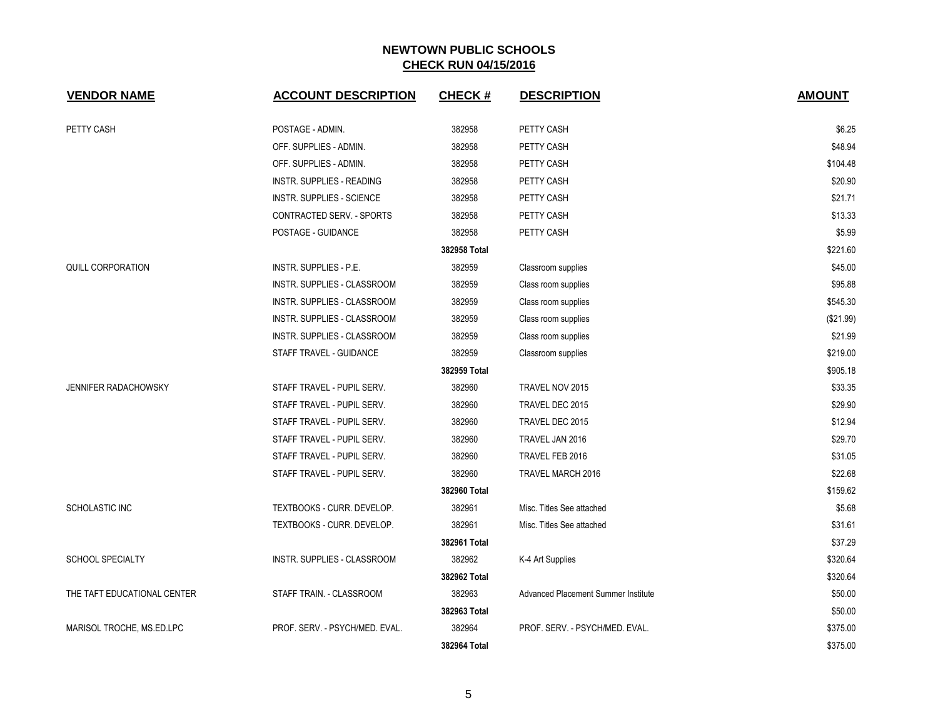| <b>VENDOR NAME</b>          | <b>ACCOUNT DESCRIPTION</b>       | <b>CHECK#</b> | <b>DESCRIPTION</b>                  | <b>AMOUNT</b> |
|-----------------------------|----------------------------------|---------------|-------------------------------------|---------------|
| PETTY CASH                  | POSTAGE - ADMIN.                 | 382958        | PETTY CASH                          | \$6.25        |
|                             | OFF. SUPPLIES - ADMIN.           | 382958        | PETTY CASH                          | \$48.94       |
|                             | OFF. SUPPLIES - ADMIN.           | 382958        | PETTY CASH                          | \$104.48      |
|                             | <b>INSTR. SUPPLIES - READING</b> | 382958        | PETTY CASH                          | \$20.90       |
|                             | <b>INSTR. SUPPLIES - SCIENCE</b> | 382958        | PETTY CASH                          | \$21.71       |
|                             | CONTRACTED SERV. - SPORTS        | 382958        | PETTY CASH                          | \$13.33       |
|                             | POSTAGE - GUIDANCE               | 382958        | PETTY CASH                          | \$5.99        |
|                             |                                  | 382958 Total  |                                     | \$221.60      |
| <b>QUILL CORPORATION</b>    | <b>INSTR. SUPPLIES - P.E.</b>    | 382959        | Classroom supplies                  | \$45.00       |
|                             | INSTR. SUPPLIES - CLASSROOM      | 382959        | Class room supplies                 | \$95.88       |
|                             | INSTR. SUPPLIES - CLASSROOM      | 382959        | Class room supplies                 | \$545.30      |
|                             | INSTR. SUPPLIES - CLASSROOM      | 382959        | Class room supplies                 | (\$21.99)     |
|                             | INSTR. SUPPLIES - CLASSROOM      | 382959        | Class room supplies                 | \$21.99       |
|                             | STAFF TRAVEL - GUIDANCE          | 382959        | Classroom supplies                  | \$219.00      |
|                             |                                  | 382959 Total  |                                     | \$905.18      |
| <b>JENNIFER RADACHOWSKY</b> | STAFF TRAVEL - PUPIL SERV.       | 382960        | TRAVEL NOV 2015                     | \$33.35       |
|                             | STAFF TRAVEL - PUPIL SERV.       | 382960        | TRAVEL DEC 2015                     | \$29.90       |
|                             | STAFF TRAVEL - PUPIL SERV.       | 382960        | TRAVEL DEC 2015                     | \$12.94       |
|                             | STAFF TRAVEL - PUPIL SERV.       | 382960        | TRAVEL JAN 2016                     | \$29.70       |
|                             | STAFF TRAVEL - PUPIL SERV.       | 382960        | TRAVEL FEB 2016                     | \$31.05       |
|                             | STAFF TRAVEL - PUPIL SERV.       | 382960        | TRAVEL MARCH 2016                   | \$22.68       |
|                             |                                  | 382960 Total  |                                     | \$159.62      |
| SCHOLASTIC INC              | TEXTBOOKS - CURR. DEVELOP.       | 382961        | Misc. Titles See attached           | \$5.68        |
|                             | TEXTBOOKS - CURR. DEVELOP.       | 382961        | Misc. Titles See attached           | \$31.61       |
|                             |                                  | 382961 Total  |                                     | \$37.29       |
| <b>SCHOOL SPECIALTY</b>     | INSTR. SUPPLIES - CLASSROOM      | 382962        | K-4 Art Supplies                    | \$320.64      |
|                             |                                  | 382962 Total  |                                     | \$320.64      |
| THE TAFT EDUCATIONAL CENTER | STAFF TRAIN. - CLASSROOM         | 382963        | Advanced Placement Summer Institute | \$50.00       |
|                             |                                  | 382963 Total  |                                     | \$50.00       |
| MARISOL TROCHE, MS.ED.LPC   | PROF. SERV. - PSYCH/MED. EVAL.   | 382964        | PROF. SERV. - PSYCH/MED. EVAL.      | \$375.00      |
|                             |                                  | 382964 Total  |                                     | \$375.00      |